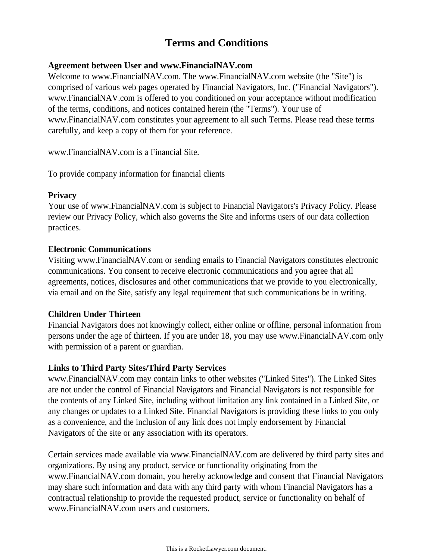# **Terms and Conditions**

#### **Agreement between User and www.FinancialNAV.com**

Welcome to www.FinancialNAV.com. The www.FinancialNAV.com website (the "Site") is comprised of various web pages operated by Financial Navigators, Inc. ("Financial Navigators"). www.FinancialNAV.com is offered to you conditioned on your acceptance without modification of the terms, conditions, and notices contained herein (the "Terms"). Your use of www.FinancialNAV.com constitutes your agreement to all such Terms. Please read these terms carefully, and keep a copy of them for your reference.

www.FinancialNAV.com is a Financial Site.

To provide company information for financial clients

### **Privacy**

Your use of www.FinancialNAV.com is subject to Financial Navigators's Privacy Policy. Please review our Privacy Policy, which also governs the Site and informs users of our data collection practices.

### **Electronic Communications**

Visiting www.FinancialNAV.com or sending emails to Financial Navigators constitutes electronic communications. You consent to receive electronic communications and you agree that all agreements, notices, disclosures and other communications that we provide to you electronically, via email and on the Site, satisfy any legal requirement that such communications be in writing.

# **Children Under Thirteen**

Financial Navigators does not knowingly collect, either online or offline, personal information from persons under the age of thirteen. If you are under 18, you may use www.FinancialNAV.com only with permission of a parent or guardian.

# **Links to Third Party Sites/Third Party Services**

www.FinancialNAV.com may contain links to other websites ("Linked Sites"). The Linked Sites are not under the control of Financial Navigators and Financial Navigators is not responsible for the contents of any Linked Site, including without limitation any link contained in a Linked Site, or any changes or updates to a Linked Site. Financial Navigators is providing these links to you only as a convenience, and the inclusion of any link does not imply endorsement by Financial Navigators of the site or any association with its operators.

Certain services made available via www.FinancialNAV.com are delivered by third party sites and organizations. By using any product, service or functionality originating from the www.FinancialNAV.com domain, you hereby acknowledge and consent that Financial Navigators may share such information and data with any third party with whom Financial Navigators has a contractual relationship to provide the requested product, service or functionality on behalf of www.FinancialNAV.com users and customers.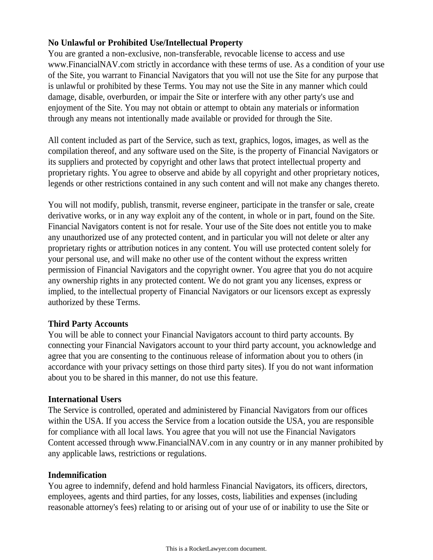# **No Unlawful or Prohibited Use/Intellectual Property**

You are granted a non-exclusive, non-transferable, revocable license to access and use www.FinancialNAV.com strictly in accordance with these terms of use. As a condition of your use of the Site, you warrant to Financial Navigators that you will not use the Site for any purpose that is unlawful or prohibited by these Terms. You may not use the Site in any manner which could damage, disable, overburden, or impair the Site or interfere with any other party's use and enjoyment of the Site. You may not obtain or attempt to obtain any materials or information through any means not intentionally made available or provided for through the Site.

All content included as part of the Service, such as text, graphics, logos, images, as well as the compilation thereof, and any software used on the Site, is the property of Financial Navigators or its suppliers and protected by copyright and other laws that protect intellectual property and proprietary rights. You agree to observe and abide by all copyright and other proprietary notices, legends or other restrictions contained in any such content and will not make any changes thereto.

You will not modify, publish, transmit, reverse engineer, participate in the transfer or sale, create derivative works, or in any way exploit any of the content, in whole or in part, found on the Site. Financial Navigators content is not for resale. Your use of the Site does not entitle you to make any unauthorized use of any protected content, and in particular you will not delete or alter any proprietary rights or attribution notices in any content. You will use protected content solely for your personal use, and will make no other use of the content without the express written permission of Financial Navigators and the copyright owner. You agree that you do not acquire any ownership rights in any protected content. We do not grant you any licenses, express or implied, to the intellectual property of Financial Navigators or our licensors except as expressly authorized by these Terms.

# **Third Party Accounts**

You will be able to connect your Financial Navigators account to third party accounts. By connecting your Financial Navigators account to your third party account, you acknowledge and agree that you are consenting to the continuous release of information about you to others (in accordance with your privacy settings on those third party sites). If you do not want information about you to be shared in this manner, do not use this feature.

# **International Users**

The Service is controlled, operated and administered by Financial Navigators from our offices within the USA. If you access the Service from a location outside the USA, you are responsible for compliance with all local laws. You agree that you will not use the Financial Navigators Content accessed through www.FinancialNAV.com in any country or in any manner prohibited by any applicable laws, restrictions or regulations.

# **Indemnification**

You agree to indemnify, defend and hold harmless Financial Navigators, its officers, directors, employees, agents and third parties, for any losses, costs, liabilities and expenses (including reasonable attorney's fees) relating to or arising out of your use of or inability to use the Site or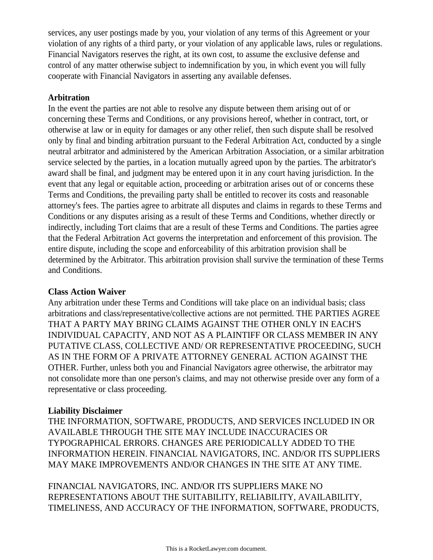services, any user postings made by you, your violation of any terms of this Agreement or your violation of any rights of a third party, or your violation of any applicable laws, rules or regulations. Financial Navigators reserves the right, at its own cost, to assume the exclusive defense and control of any matter otherwise subject to indemnification by you, in which event you will fully cooperate with Financial Navigators in asserting any available defenses.

### **Arbitration**

In the event the parties are not able to resolve any dispute between them arising out of or concerning these Terms and Conditions, or any provisions hereof, whether in contract, tort, or otherwise at law or in equity for damages or any other relief, then such dispute shall be resolved only by final and binding arbitration pursuant to the Federal Arbitration Act, conducted by a single neutral arbitrator and administered by the American Arbitration Association, or a similar arbitration service selected by the parties, in a location mutually agreed upon by the parties. The arbitrator's award shall be final, and judgment may be entered upon it in any court having jurisdiction. In the event that any legal or equitable action, proceeding or arbitration arises out of or concerns these Terms and Conditions, the prevailing party shall be entitled to recover its costs and reasonable attorney's fees. The parties agree to arbitrate all disputes and claims in regards to these Terms and Conditions or any disputes arising as a result of these Terms and Conditions, whether directly or indirectly, including Tort claims that are a result of these Terms and Conditions. The parties agree that the Federal Arbitration Act governs the interpretation and enforcement of this provision. The entire dispute, including the scope and enforceability of this arbitration provision shall be determined by the Arbitrator. This arbitration provision shall survive the termination of these Terms and Conditions.

#### **Class Action Waiver**

Any arbitration under these Terms and Conditions will take place on an individual basis; class arbitrations and class/representative/collective actions are not permitted. THE PARTIES AGREE THAT A PARTY MAY BRING CLAIMS AGAINST THE OTHER ONLY IN EACH'S INDIVIDUAL CAPACITY, AND NOT AS A PLAINTIFF OR CLASS MEMBER IN ANY PUTATIVE CLASS, COLLECTIVE AND/ OR REPRESENTATIVE PROCEEDING, SUCH AS IN THE FORM OF A PRIVATE ATTORNEY GENERAL ACTION AGAINST THE OTHER. Further, unless both you and Financial Navigators agree otherwise, the arbitrator may not consolidate more than one person's claims, and may not otherwise preside over any form of a representative or class proceeding.

# **Liability Disclaimer**

THE INFORMATION, SOFTWARE, PRODUCTS, AND SERVICES INCLUDED IN OR AVAILABLE THROUGH THE SITE MAY INCLUDE INACCURACIES OR TYPOGRAPHICAL ERRORS. CHANGES ARE PERIODICALLY ADDED TO THE INFORMATION HEREIN. FINANCIAL NAVIGATORS, INC. AND/OR ITS SUPPLIERS MAY MAKE IMPROVEMENTS AND/OR CHANGES IN THE SITE AT ANY TIME.

FINANCIAL NAVIGATORS, INC. AND/OR ITS SUPPLIERS MAKE NO REPRESENTATIONS ABOUT THE SUITABILITY, RELIABILITY, AVAILABILITY, TIMELINESS, AND ACCURACY OF THE INFORMATION, SOFTWARE, PRODUCTS,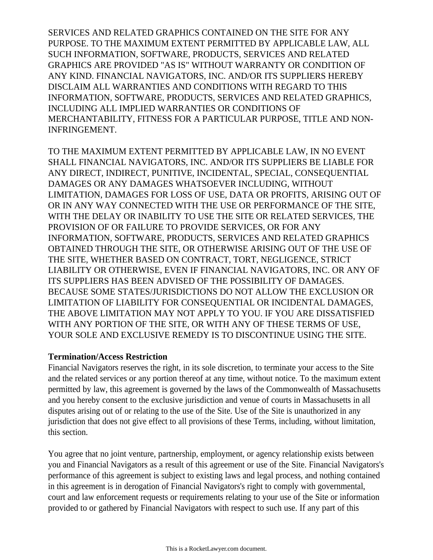SERVICES AND RELATED GRAPHICS CONTAINED ON THE SITE FOR ANY PURPOSE. TO THE MAXIMUM EXTENT PERMITTED BY APPLICABLE LAW, ALL SUCH INFORMATION, SOFTWARE, PRODUCTS, SERVICES AND RELATED GRAPHICS ARE PROVIDED "AS IS" WITHOUT WARRANTY OR CONDITION OF ANY KIND. FINANCIAL NAVIGATORS, INC. AND/OR ITS SUPPLIERS HEREBY DISCLAIM ALL WARRANTIES AND CONDITIONS WITH REGARD TO THIS INFORMATION, SOFTWARE, PRODUCTS, SERVICES AND RELATED GRAPHICS, INCLUDING ALL IMPLIED WARRANTIES OR CONDITIONS OF MERCHANTABILITY, FITNESS FOR A PARTICULAR PURPOSE, TITLE AND NON-INFRINGEMENT.

TO THE MAXIMUM EXTENT PERMITTED BY APPLICABLE LAW, IN NO EVENT SHALL FINANCIAL NAVIGATORS, INC. AND/OR ITS SUPPLIERS BE LIABLE FOR ANY DIRECT, INDIRECT, PUNITIVE, INCIDENTAL, SPECIAL, CONSEQUENTIAL DAMAGES OR ANY DAMAGES WHATSOEVER INCLUDING, WITHOUT LIMITATION, DAMAGES FOR LOSS OF USE, DATA OR PROFITS, ARISING OUT OF OR IN ANY WAY CONNECTED WITH THE USE OR PERFORMANCE OF THE SITE, WITH THE DELAY OR INABILITY TO USE THE SITE OR RELATED SERVICES, THE PROVISION OF OR FAILURE TO PROVIDE SERVICES, OR FOR ANY INFORMATION, SOFTWARE, PRODUCTS, SERVICES AND RELATED GRAPHICS OBTAINED THROUGH THE SITE, OR OTHERWISE ARISING OUT OF THE USE OF THE SITE, WHETHER BASED ON CONTRACT, TORT, NEGLIGENCE, STRICT LIABILITY OR OTHERWISE, EVEN IF FINANCIAL NAVIGATORS, INC. OR ANY OF ITS SUPPLIERS HAS BEEN ADVISED OF THE POSSIBILITY OF DAMAGES. BECAUSE SOME STATES/JURISDICTIONS DO NOT ALLOW THE EXCLUSION OR LIMITATION OF LIABILITY FOR CONSEQUENTIAL OR INCIDENTAL DAMAGES, THE ABOVE LIMITATION MAY NOT APPLY TO YOU. IF YOU ARE DISSATISFIED WITH ANY PORTION OF THE SITE, OR WITH ANY OF THESE TERMS OF USE, YOUR SOLE AND EXCLUSIVE REMEDY IS TO DISCONTINUE USING THE SITE.

#### **Termination/Access Restriction**

Financial Navigators reserves the right, in its sole discretion, to terminate your access to the Site and the related services or any portion thereof at any time, without notice. To the maximum extent permitted by law, this agreement is governed by the laws of the Commonwealth of Massachusetts and you hereby consent to the exclusive jurisdiction and venue of courts in Massachusetts in all disputes arising out of or relating to the use of the Site. Use of the Site is unauthorized in any jurisdiction that does not give effect to all provisions of these Terms, including, without limitation, this section.

You agree that no joint venture, partnership, employment, or agency relationship exists between you and Financial Navigators as a result of this agreement or use of the Site. Financial Navigators's performance of this agreement is subject to existing laws and legal process, and nothing contained in this agreement is in derogation of Financial Navigators's right to comply with governmental, court and law enforcement requests or requirements relating to your use of the Site or information provided to or gathered by Financial Navigators with respect to such use. If any part of this